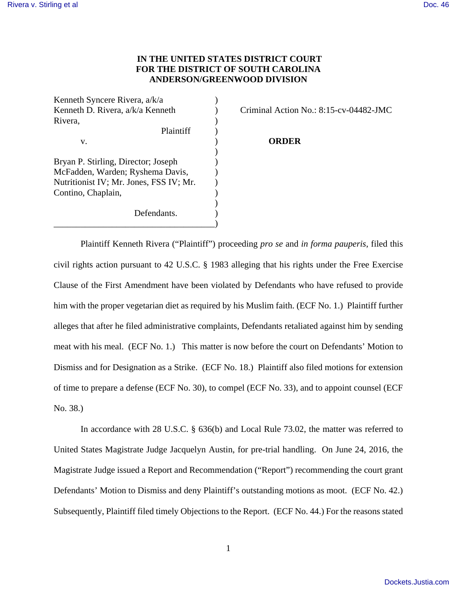## **IN THE UNITED STATES DISTRICT COURT FOR THE DISTRICT OF SOUTH CAROLINA ANDERSON/GREENWOOD DIVISION**

Kenneth Syncere Rivera,  $a/k/a$  ) Kenneth D. Rivera, a/k/a Kenneth ) Criminal Action No.: 8:15-cv-04482-JMC Rivera,  $\qquad \qquad$  ) Plaintiff ) v. ) **ORDER**  $)$ Bryan P. Stirling, Director; Joseph ) McFadden, Warden; Ryshema Davis,  $\qquad)$ Nutritionist IV; Mr. Jones, FSS IV; Mr.  $)$ Contino, Chaplain, ) Defendants. \_\_\_\_\_\_\_\_\_\_\_\_\_\_\_\_\_\_\_\_\_\_\_\_\_\_\_\_\_\_\_\_\_\_\_\_)

Plaintiff Kenneth Rivera ("Plaintiff") proceeding *pro se* and *in forma pauperis*, filed this civil rights action pursuant to 42 U.S.C. § 1983 alleging that his rights under the Free Exercise Clause of the First Amendment have been violated by Defendants who have refused to provide him with the proper vegetarian diet as required by his Muslim faith. (ECF No. 1.) Plaintiff further alleges that after he filed administrative complaints, Defendants retaliated against him by sending meat with his meal. (ECF No. 1.) This matter is now before the court on Defendants' Motion to Dismiss and for Designation as a Strike. (ECF No. 18.) Plaintiff also filed motions for extension of time to prepare a defense (ECF No. 30), to compel (ECF No. 33), and to appoint counsel (ECF No. 38.)

 In accordance with 28 U.S.C. § 636(b) and Local Rule 73.02, the matter was referred to United States Magistrate Judge Jacquelyn Austin, for pre-trial handling. On June 24, 2016, the Magistrate Judge issued a Report and Recommendation ("Report") recommending the court grant Defendants' Motion to Dismiss and deny Plaintiff's outstanding motions as moot. (ECF No. 42.) Subsequently, Plaintiff filed timely Objections to the Report. (ECF No. 44.) For the reasons stated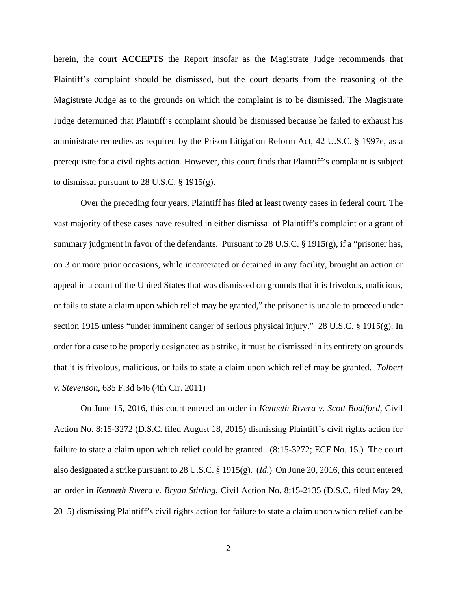herein, the court **ACCEPTS** the Report insofar as the Magistrate Judge recommends that Plaintiff's complaint should be dismissed, but the court departs from the reasoning of the Magistrate Judge as to the grounds on which the complaint is to be dismissed. The Magistrate Judge determined that Plaintiff's complaint should be dismissed because he failed to exhaust his administrate remedies as required by the Prison Litigation Reform Act, 42 U.S.C. § 1997e, as a prerequisite for a civil rights action. However, this court finds that Plaintiff's complaint is subject to dismissal pursuant to 28 U.S.C. § 1915(g).

 Over the preceding four years, Plaintiff has filed at least twenty cases in federal court. The vast majority of these cases have resulted in either dismissal of Plaintiff's complaint or a grant of summary judgment in favor of the defendants. Pursuant to 28 U.S.C. § 1915(g), if a "prisoner has, on 3 or more prior occasions, while incarcerated or detained in any facility, brought an action or appeal in a court of the United States that was dismissed on grounds that it is frivolous, malicious, or fails to state a claim upon which relief may be granted," the prisoner is unable to proceed under section 1915 unless "under imminent danger of serious physical injury." 28 U.S.C. § 1915(g). In order for a case to be properly designated as a strike, it must be dismissed in its entirety on grounds that it is frivolous, malicious, or fails to state a claim upon which relief may be granted. *Tolbert v. Stevenson*, 635 F.3d 646 (4th Cir. 2011)

 On June 15, 2016, this court entered an order in *Kenneth Rivera v. Scott Bodiford*, Civil Action No. 8:15-3272 (D.S.C. filed August 18, 2015) dismissing Plaintiff's civil rights action for failure to state a claim upon which relief could be granted. (8:15-3272; ECF No. 15.) The court also designated a strike pursuant to 28 U.S.C. § 1915(g). (*Id.*) On June 20, 2016, this court entered an order in *Kenneth Rivera v. Bryan Stirling*, Civil Action No. 8:15-2135 (D.S.C. filed May 29, 2015) dismissing Plaintiff's civil rights action for failure to state a claim upon which relief can be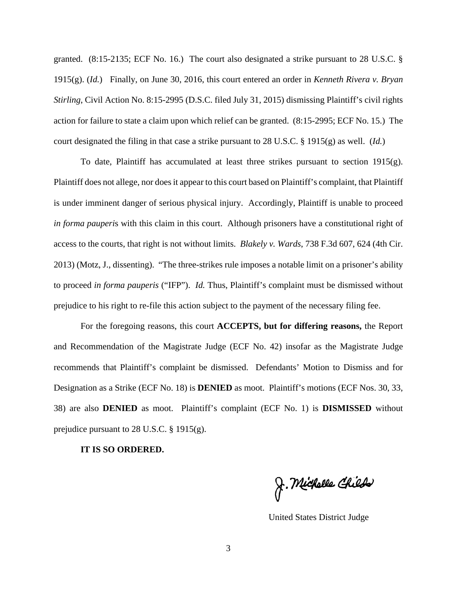granted. (8:15-2135; ECF No. 16.) The court also designated a strike pursuant to 28 U.S.C. § 1915(g). (*Id.*) Finally, on June 30, 2016, this court entered an order in *Kenneth Rivera v. Bryan Stirling*, Civil Action No. 8:15-2995 (D.S.C. filed July 31, 2015) dismissing Plaintiff's civil rights action for failure to state a claim upon which relief can be granted. (8:15-2995; ECF No. 15.) The court designated the filing in that case a strike pursuant to 28 U.S.C. § 1915(g) as well. (*Id.*)

To date, Plaintiff has accumulated at least three strikes pursuant to section  $1915(g)$ . Plaintiff does not allege, nor does it appear to this court based on Plaintiff's complaint, that Plaintiff is under imminent danger of serious physical injury. Accordingly, Plaintiff is unable to proceed *in forma pauperi*s with this claim in this court. Although prisoners have a constitutional right of access to the courts, that right is not without limits. *Blakely v. Wards*, 738 F.3d 607, 624 (4th Cir. 2013) (Motz, J., dissenting). "The three-strikes rule imposes a notable limit on a prisoner's ability to proceed *in forma pauperis* ("IFP"). *Id.* Thus, Plaintiff's complaint must be dismissed without prejudice to his right to re-file this action subject to the payment of the necessary filing fee.

For the foregoing reasons, this court **ACCEPTS, but for differing reasons,** the Report and Recommendation of the Magistrate Judge (ECF No. 42) insofar as the Magistrate Judge recommends that Plaintiff's complaint be dismissed. Defendants' Motion to Dismiss and for Designation as a Strike (ECF No. 18) is **DENIED** as moot. Plaintiff's motions (ECF Nos. 30, 33, 38) are also **DENIED** as moot. Plaintiff's complaint (ECF No. 1) is **DISMISSED** without prejudice pursuant to 28 U.S.C. § 1915(g).

## **IT IS SO ORDERED.**

J. Michelle Childs

United States District Judge